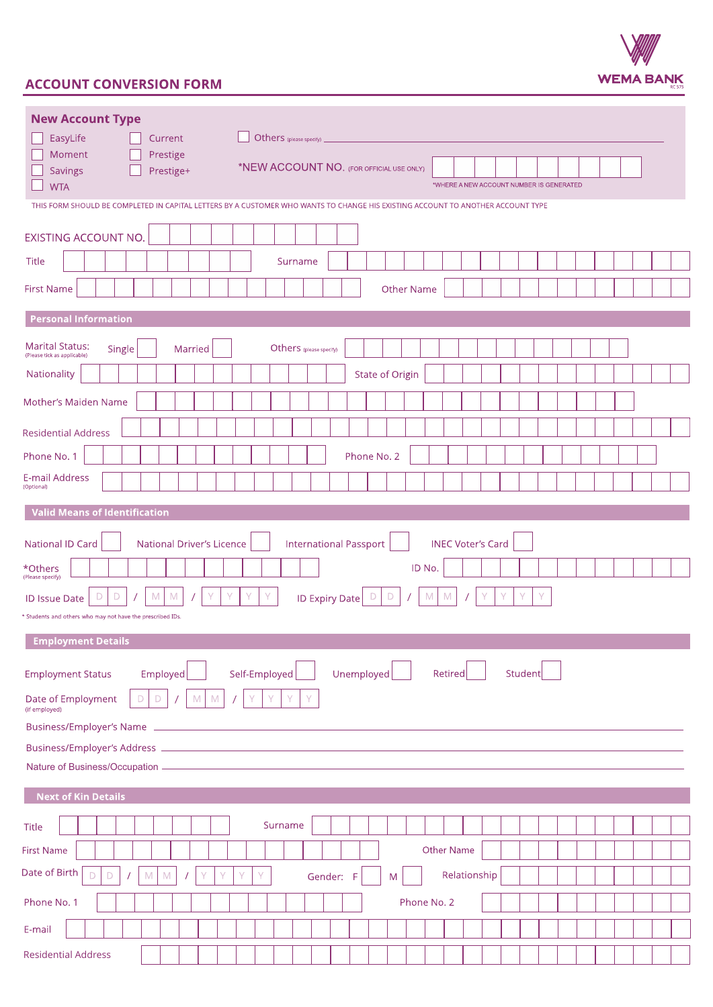

## **ACCOUNT CONVERSION FORM**

| <b>New Account Type</b><br>EasyLife<br>Others (please specify) _<br>Current<br>Moment<br>Prestige<br>*NEW ACCOUNT NO. (FOR OFFICIAL USE ONLY)<br><b>Savings</b><br>Prestige+<br>*WHERE A NEW ACCOUNT NUMBER IS GENERATED<br><b>WTA</b><br>THIS FORM SHOULD BE COMPLETED IN CAPITAL LETTERS BY A CUSTOMER WHO WANTS TO CHANGE HIS EXISTING ACCOUNT TO ANOTHER ACCOUNT TYPE |
|---------------------------------------------------------------------------------------------------------------------------------------------------------------------------------------------------------------------------------------------------------------------------------------------------------------------------------------------------------------------------|
| <b>EXISTING ACCOUNT NO.</b>                                                                                                                                                                                                                                                                                                                                               |
| <b>Title</b><br>Surname                                                                                                                                                                                                                                                                                                                                                   |
| <b>First Name</b><br><b>Other Name</b>                                                                                                                                                                                                                                                                                                                                    |
| <b>Personal Information</b>                                                                                                                                                                                                                                                                                                                                               |
| <b>Marital Status:</b><br>Others (please specify)<br>Single<br>Married<br>(Please tick as applicable)                                                                                                                                                                                                                                                                     |
| Nationality<br><b>State of Origin</b>                                                                                                                                                                                                                                                                                                                                     |
| Mother's Maiden Name                                                                                                                                                                                                                                                                                                                                                      |
| <b>Residential Address</b>                                                                                                                                                                                                                                                                                                                                                |
| Phone No. 1<br>Phone No. 2                                                                                                                                                                                                                                                                                                                                                |
| E-mail Address<br>(Optional)                                                                                                                                                                                                                                                                                                                                              |
| <b>Valid Means of Identification</b>                                                                                                                                                                                                                                                                                                                                      |
| <b>INEC Voter's Card</b><br>National ID Card<br><b>National Driver's Licence</b><br><b>International Passport</b><br>ID No.<br>*Others<br>(Please specify)<br>D<br>M<br>D<br>M<br><b>ID Expiry Date</b><br>D<br>D<br>M<br>M<br><b>ID Issue Date</b><br>* Students and others who may not have the prescribed IDs.                                                         |
| <b>Employment Details</b><br>Retired<br>Student<br>Employed<br>Self-Employed<br>Unemployed<br><b>Employment Status</b><br>Date of Employment<br>${\mathbb M}$<br>$\mathsf{Y}$<br>$\mathsf D$<br>$\mathsf D$<br>${\mathsf M}$<br>Y<br>Y<br>Y<br>$\bigg)$<br>(if employed)                                                                                                  |
|                                                                                                                                                                                                                                                                                                                                                                           |
| <b>Next of Kin Details</b>                                                                                                                                                                                                                                                                                                                                                |
| Surname<br><b>Title</b>                                                                                                                                                                                                                                                                                                                                                   |
| Other Name<br><b>First Name</b>                                                                                                                                                                                                                                                                                                                                           |
| Date of Birth<br>Relationship<br>D<br>$\mathsf D$<br>$\mathbb M$<br>$\mathbb M$<br>Y<br>Gender:<br>F<br>M                                                                                                                                                                                                                                                                 |
| Phone No. 1<br>Phone No. 2                                                                                                                                                                                                                                                                                                                                                |
| E-mail                                                                                                                                                                                                                                                                                                                                                                    |
| <b>Residential Address</b>                                                                                                                                                                                                                                                                                                                                                |